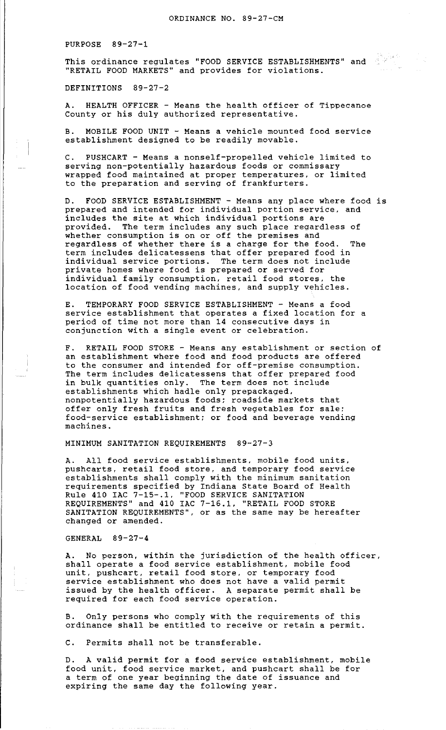PURPOSE 89-27-1

This ordinance regulates "FOOD SERVICE ESTABLISHMENTS" and ''RETAIL FOOD MARKETS'' and provides for violations.

DEFINITIONS 89-27-2

A. HEALTH OFFICER - Means the health officer of Tippecanoe County or his duly authorized representative.

B. MOBILE FOOD UNIT - Means a vehicle mounted food service establishment designed to be readily movable.

C. PUSHCART - Means a nonself-propelled vehicle limited to serving non-potentially hazardous foods or commissary wrapped food maintained at proper temperatures, or limited to the preparation and serving of frankfurters.

D. FOOD SERVICE ESTABLISHMENT - Means any place where food is prepared and intended for individual portion service, and prepared and incended for individual portion services includes the site at which individual portions are provided. The term includes any such place regardless of whether consumption is on or off the premises and regardless of whether there is a charge for the food. The term includes delicatessens that offer prepared food in individual service portions. The term does not include private homes where food is prepared or served for individual family consumption, retail food stores, the location of food vending machines, and supply vehicles.

E. TEMPORARY FOOD SERVICE ESTABLISHMENT - Means a food service establishment that operates a fixed location for a period of time not more than 14 consecutive days in conjunction with a single event or celebration.

F. RETAIL FOOD STORE - Means any establishment or section of an establishment where food and food products are offered to the consumer and intended for off-premise consumption. The term includes delicatessens that offer prepared food in bulk quantities only. The term does not include establishments which hadle only prepackaged, nonpotentially hazardous foods; roadside markets that offer only fresh fruits and fresh vegetables for sale; food-service establishment; or food and beverage vending machines.

MINIMUM SANITATION REQUIREMENTS 89-27-3

A. All food service establishments, mobile food units, pushcarts, retail food store, and temporary food service establishments shall comply with the minimum sanitation requirements specified by Indiana State Board of Health Rule 410 IAC 7-15-.l, "FOOD SERVICE SANITATION REQUIREMENTS" and 410 IAC 7-16.1, "RETAIL FOOD STORE SANITATION REQUIREMENTS", or as the same may be hereafter changed or amended.

GENERAL 89-27-4

A. No person, within the jurisdiction of the health officer, shall operate a food service establishment, mobile food unit, pushcart, retail food store, or temporary food service establishment who does not have a valid permit issued by the health officer. A separate permit shall be required for each food service operation.

B. Only persons who comply with the requirements of this ordinance shall be entitled to receive or retain a permit.

C. Permits shall not be transferable.

D. A valid permit for a food service establishment, mobile food unit, food service market, and pushcart shall be for a term of one year beginning the date of issuance and expiring the same day the following year.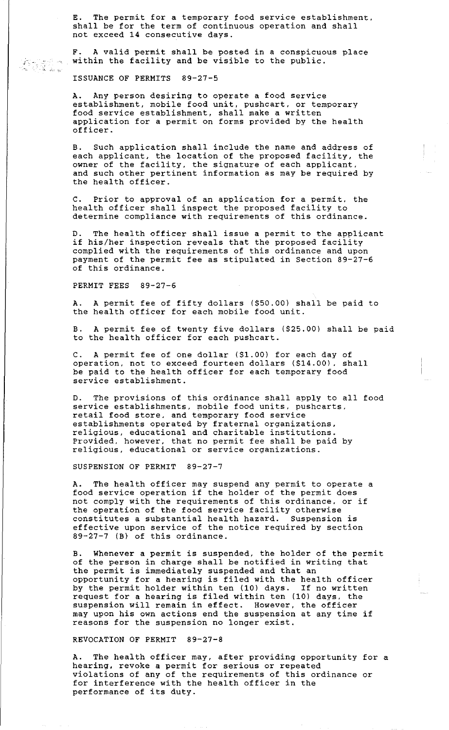E. The permit for a temporary food service establishment, shall be for the term of continuous operation and shall not exceed 14 consecutive days.

F. A valid permit shall be posted in a conspicuous place within the facility and be visible to the public.

ISSUANCE OF PERMITS 89-27-5

' '

A. Any person desiring to operate a food service establishment, mobile food unit, pushcart, or temporary food service establishment, shall make a written application for a permit on forms provided by the health officer.

B. Such application shall include the name and address of each applicant, the location of the proposed facility, the owner of the facility, the signature of each applicant, and such other pertinent information as may be required by the health officer.

C. Prior to approval of an application for a permit, the health officer shall inspect the proposed facility to determine compliance with requirements of this ordinance.

The health officer shall issue a permit to the applicant if his/her inspection reveals that the proposed facility complied with the requirements of this ordinance and upon payment of the permit fee as stipulated in Section 89-27-6 of this ordinance.

PERMIT FEES 89-27-6

A. A permit fee of fifty dollars (\$50.00) shall be paid to the health officer for each mobile food unit.

A permit fee of twenty five dollars (\$25.00) shall be paid to the health officer for each pushcart.

C. A permit fee of one dollar (\$1.00) for each day of operation, not to exceed fourteen dollars (\$14.00), shall be paid to the health officer for each temporary food service establishment.

D. The provisions of this ordinance shall apply to all food service establishments, mobile food units, pushcarts, retail food store. and temporary food service establishments operated by fraternal organizations, escasiismments operaced sy fracernar organizacions, Provided, however, that no permit fee shall be paid by religious, educational or service organizations.

SUSPENSION OF PERMIT 89-27-7

A. The health officer may suspend any permit to operate a food service operation if the holder of the permit does not comply with the requirements of this ordinance, or if the operation of the food service facility otherwise constitutes a substantial health hazard. Suspension is effective upon service of the notice required by section 89-27-7 (B) of this ordinance.

B. Whenever a permit is suspended, the holder of the permit of the person in charge shall be notified in writing that the permit is immediately suspended and that an opportunity for a hearing is filed with the health officer by the permit holder within ten (10) days. If no written by the permit horder within ten (10) days. If no written<br>request for a hearing is filed within ten (10) days, the suspension will remain in effect. However, the officer may upon his own actions end the suspension at any time if reasons for the suspension no longer exist.

REVOCATION OF PERMIT 89-27-8

A. The health officer may, after providing opportunity for a hearing, revoke a permit for serious or repeated violations of any of the requirements of this ordinance or for interference with the health officer in the performance of its duty.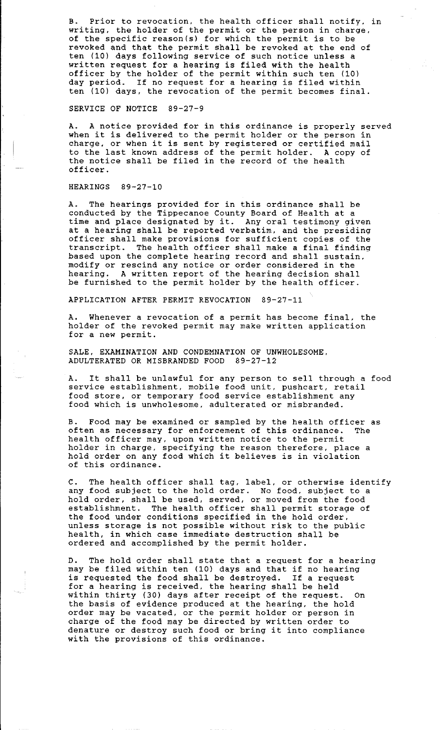B. Prior to revocation, the health officer shall notify, in writing, the holder of the permit or the person in charge, of the specific reason(s} for which the permit is to be revoked and that the permit shall be revoked at the end of ten (10) days following service of such notice unless a written request for a hearing is filed with the health officer by the holder of the permit within such ten (10) day period. If no request for a hearing is filed within ten (10) days, the revocation of the permit becomes final.

SERVICE OF NOTICE 89-27-9

A. A notice provided for in this ordinance is properly served when it is delivered to the permit holder or the person in charge, or when it is sent by registered or certified mail to the last known address of the permit holder. A copy of the notice shall be filed in the record of the health officer.

## HEARINGS 89-27-10

A. The hearings provided for in this ordinance shall be conducted by the Tippecanoe County Board of Health at a time and place designated by it. Any oral testimony given at a hearing shall be reported verbatim, and the presiding officer shall make provisions for sufficient copies of the transcript. The health officer shall make a final finding based upon the complete hearing record and shall sustain, modify or rescind any notice or order considered in the hearing. A written report of the hearing decision shall be furnished to the permit holder by the health officer.

APPLICATION AFTER PERMIT REVOCATION 89-27-11

A. Whenever a revocation of a permit has become final, the holder of the revoked permit may make written application for a new permit.

SALE, EXAMINATION AND CONDEMNATION OF UNWHOLESOME. ADULTERATED OR MISBRANDED FOOD 89-27-12

A. It shall be unlawful for any person to sell through a food service establishment, mobile food unit, pushcart, retail food store, or temporary food service establishment any food which is unwholesome, adulterated or misbranded.

B. Food may be examined or sampled by the health officer as often as necessary for enforcement of this ordinance. The health officer may, upon written notice to the permit holder in charge, specifying the reason therefore, place a hold order on any food which it believes is in violation of this ordinance.

C. The health officer shall tag, label, or otherwise identify any food subject to the hold order. No food, subject to a hold order, shall be used, served, or moved from the food establishment. The health officer shall permit storage of the food under conditions specified in the hold order, unless storage is not possible without risk to the public health, in which case immediate destruction shall be ordered and accomplished by the permit holder.

D. The hold order shall state that a request for a hearing b. The hold order shall scate that a request for a hear.<br>may be filed within ten (10) days and that if no hearing is requested the food shall be destroyed. If a request for a hearing is received, the hearing shall be held within thirty (30) days after receipt of the request. On the basis of evidence produced at the hearing, the hold order may be vacated, or the permit holder or person in charge of the food may be directed by written order to denature or destroy such food or bring it into compliance with the provisions of this ordinance.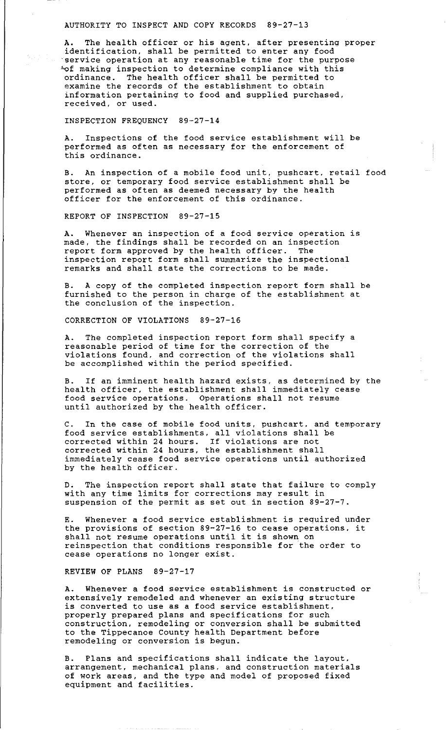## AUTHORITY TO INSPECT AND COPY RECORDS 89-27-13

A. The health officer or his agent, after presenting proper identification, shall be permitted to enter any food ·service operation at any reasonable time for the purpose "of making inspection to determine compliance with this ordinance. The health officer shall be permitted to examine the records of the establishment to obtain information pertaining to food and supplied purchased, received, or used.

INSPECTION FREQUENCY 89-27-14

A. Inspections of the food service establishment will be performed as often as necessary for the enforcement of this ordinance.

B. An inspection of a mobile food unit, pushcart, retail food store, or temporary food service establishment shall be performed as often as deemed necessary by the health officer for the enforcement of this ordinance.

REPORT OF INSPECTION 89-27-15

A. Whenever an inspection of a food service operation is made, the findings shall be recorded on an inspection report form approved by the health officer. The inspection report form shall summarize the inspectional remarks and shall state the corrections to be made.

B. A copy of the completed inspection report form shall be furnished to the person in charge of the establishment at the conclusion of the inspection.

CORRECTION OF VIOLATIONS 89-27-16

A. The completed inspection report form shall specify a reasonable period of time for the correction of the violations found, and correction of the violations shall be accomplished within the period specified.

B. If an imminent health hazard exists, as determined by the health officer, the establishment shall immediately cease food service operations. Operations shall not resume until authorized by the health officer.

C. In the case of mobile food units, pushcart. and temporary food service establishments, all violations shall be corrected within 24 hours. If violations are not corrected within 24 hours, the establishment shall immediately cease food service operations until authorized by the health officer.

D. The inspection report shall state that failure to comply with any time limits for corrections may result in suspension of the permit as set out in section 89-27-7.

E. Whenever a food service establishment is required under the provisions of section 89-27-16 to cease operations, it shall not resume operations until it is shown on reinspection that conditions responsible for the order to cease operations no longer exist.

REVIEW OF PLANS 89-27-17

A. Whenever a food service establishment is constructed or extensively remodeled and whenever an existing structure is converted to use as a food service establishment, properly prepared plans and specifications for such construction, remodeling or conversion shall be submitted to the Tippecanoe County health Department before co and inppedance county neared begun.

B. Plans and specifications shall indicate the layout, arrangement, mechanical plans, and construction materials of work areas, and the type and model of proposed fixed or work areas, and the type